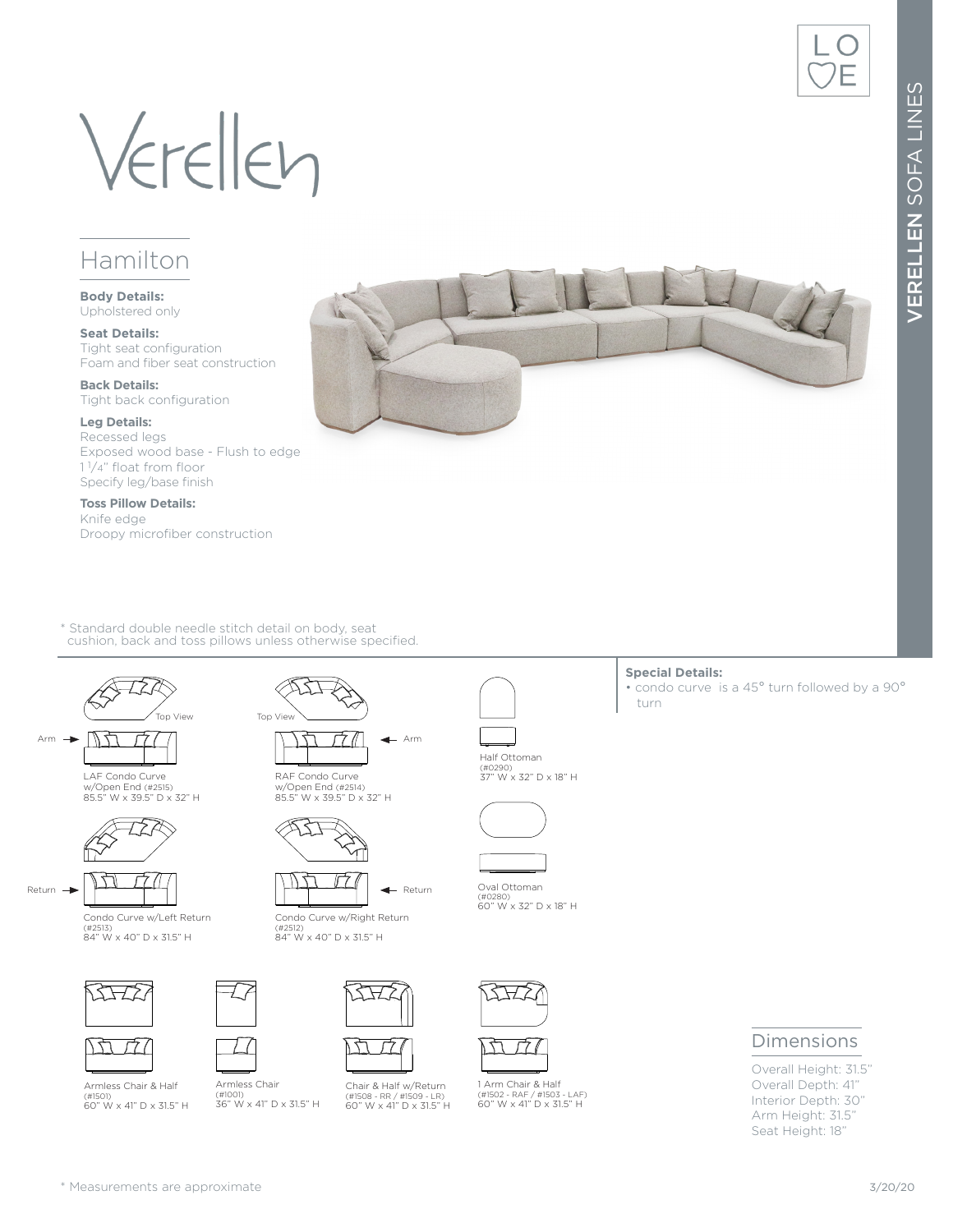# Verellen

### Hamilton

**Body Details:** Upholstered only

**Seat Details:** Tight seat configuration Foam and fiber seat construction

**Back Details:** Tight back configuration

#### **Leg Details:**

Recessed legs Exposed wood base - Flush to edge 1 1/4" float from floor Specify leg/base finish

**Toss Pillow Details:** Knife edge Droopy microfiber construction

\* Standard double needle stitch detail on body, seat cushion, back and toss pillows unless otherwise specified.



LAF Condo Curve w/Open End (#2515) 85.5" W x 39.5" D x 32" H



Condo Curve w/Left Return (#2513) 84" W x 40" D x 31.5" H





Armless Chair (#1001) 36" W x 41" D x 31.5" H

Armless Chair & Half (#1501) 60" W x 41" D x 31.5" H



RAF Condo Curve w/Open End (#2514) 85.5" W x 39.5" D x 32" H



Condo Curve w/Right Return (#2512) 84" W x 40" D x 31.5" H

ᡫ



Chair & Half w/Return (#1508 - RR / #1509 - LR) 60" W x 41" D x 31.5" H



Oval  $(4028$  $60"$ 

1 Arm Chair & Half (#1502 - RAF / #1503 - LAF) 60" W x 41" D x 31.5" H

| Ottoman<br>30)<br>N x 32" D x 18" H |  |
|-------------------------------------|--|

**Special Details:**

turn

• condo curve is a 45° turn followed by a 90°



Half Ottoman (#0290) 37" W x 32" D x 18" H







Overall Height: 31.5" Overall Depth: 41" Interior Depth: 30" Arm Height: 31.5" Seat Height: 18"